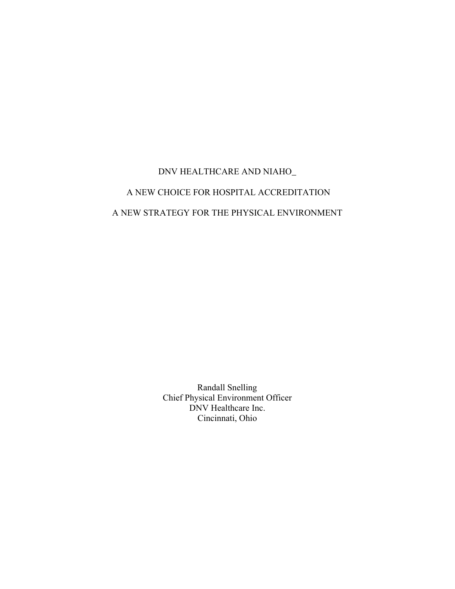## DNV HEALTHCARE AND NIAHO\_ A NEW CHOICE FOR HOSPITAL ACCREDITATION A NEW STRATEGY FOR THE PHYSICAL ENVIRONMENT

Randall Snelling Chief Physical Environment Officer DNV Healthcare Inc. Cincinnati, Ohio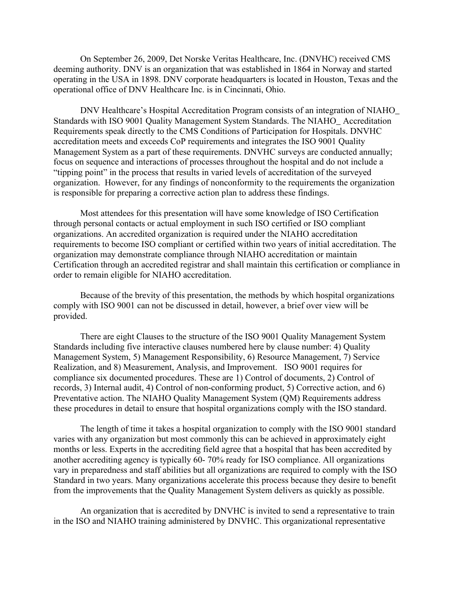On September 26, 2009, Det Norske Veritas Healthcare, Inc. (DNVHC) received CMS deeming authority. DNV is an organization that was established in 1864 in Norway and started operating in the USA in 1898. DNV corporate headquarters is located in Houston, Texas and the operational office of DNV Healthcare Inc. is in Cincinnati, Ohio.

 DNV Healthcare's Hospital Accreditation Program consists of an integration of NIAHO\_ Standards with ISO 9001 Quality Management System Standards. The NIAHO\_ Accreditation Requirements speak directly to the CMS Conditions of Participation for Hospitals. DNVHC accreditation meets and exceeds CoP requirements and integrates the ISO 9001 Quality Management System as a part of these requirements. DNVHC surveys are conducted annually; focus on sequence and interactions of processes throughout the hospital and do not include a "tipping point" in the process that results in varied levels of accreditation of the surveyed organization. However, for any findings of nonconformity to the requirements the organization is responsible for preparing a corrective action plan to address these findings.

 Most attendees for this presentation will have some knowledge of ISO Certification through personal contacts or actual employment in such ISO certified or ISO compliant organizations. An accredited organization is required under the NIAHO accreditation requirements to become ISO compliant or certified within two years of initial accreditation. The organization may demonstrate compliance through NIAHO accreditation or maintain Certification through an accredited registrar and shall maintain this certification or compliance in order to remain eligible for NIAHO accreditation.

Because of the brevity of this presentation, the methods by which hospital organizations comply with ISO 9001 can not be discussed in detail, however, a brief over view will be provided.

 There are eight Clauses to the structure of the ISO 9001 Quality Management System Standards including five interactive clauses numbered here by clause number: 4) Quality Management System, 5) Management Responsibility, 6) Resource Management, 7) Service Realization, and 8) Measurement, Analysis, and Improvement. ISO 9001 requires for compliance six documented procedures. These are 1) Control of documents, 2) Control of records, 3) Internal audit, 4) Control of non-conforming product, 5) Corrective action, and 6) Preventative action. The NIAHO Quality Management System (QM) Requirements address these procedures in detail to ensure that hospital organizations comply with the ISO standard.

The length of time it takes a hospital organization to comply with the ISO 9001 standard varies with any organization but most commonly this can be achieved in approximately eight months or less. Experts in the accrediting field agree that a hospital that has been accredited by another accrediting agency is typically 60- 70% ready for ISO compliance. All organizations vary in preparedness and staff abilities but all organizations are required to comply with the ISO Standard in two years. Many organizations accelerate this process because they desire to benefit from the improvements that the Quality Management System delivers as quickly as possible.

 An organization that is accredited by DNVHC is invited to send a representative to train in the ISO and NIAHO training administered by DNVHC. This organizational representative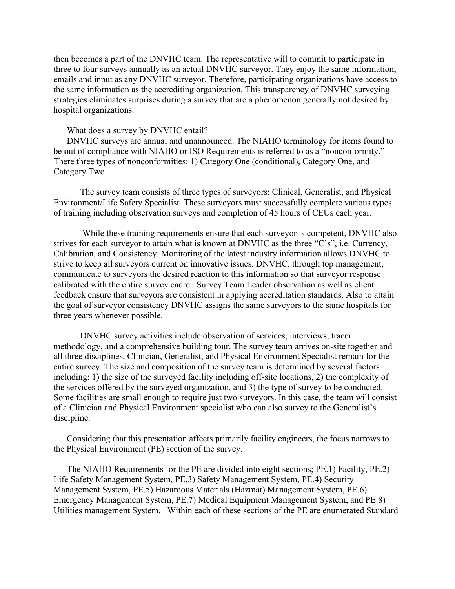then becomes a part of the DNVHC team. The representative will to commit to participate in three to four surveys annually as an actual DNVHC surveyor. They enjoy the same information, emails and input as any DNVHC surveyor. Therefore, participating organizations have access to the same information as the accrediting organization. This transparency of DNVHC surveying strategies eliminates surprises during a survey that are a phenomenon generally not desired by hospital organizations.

## What does a survey by DNVHC entail?

 DNVHC surveys are annual and unannounced. The NIAHO terminology for items found to be out of compliance with NIAHO or ISO Requirements is referred to as a "nonconformity." There three types of nonconformities: 1) Category One (conditional), Category One, and Category Two.

The survey team consists of three types of surveyors: Clinical, Generalist, and Physical Environment/Life Safety Specialist. These surveyors must successfully complete various types of training including observation surveys and completion of 45 hours of CEUs each year.

 While these training requirements ensure that each surveyor is competent, DNVHC also strives for each surveyor to attain what is known at DNVHC as the three "C's", i.e. Currency, Calibration, and Consistency. Monitoring of the latest industry information allows DNVHC to strive to keep all surveyors current on innovative issues. DNVHC, through top management, communicate to surveyors the desired reaction to this information so that surveyor response calibrated with the entire survey cadre. Survey Team Leader observation as well as client feedback ensure that surveyors are consistent in applying accreditation standards. Also to attain the goal of surveyor consistency DNVHC assigns the same surveyors to the same hospitals for three years whenever possible.

 DNVHC survey activities include observation of services, interviews, tracer methodology, and a comprehensive building tour. The survey team arrives on-site together and all three disciplines, Clinician, Generalist, and Physical Environment Specialist remain for the entire survey. The size and composition of the survey team is determined by several factors including: 1) the size of the surveyed facility including off-site locations, 2) the complexity of the services offered by the surveyed organization, and 3) the type of survey to be conducted. Some facilities are small enough to require just two surveyors. In this case, the team will consist of a Clinician and Physical Environment specialist who can also survey to the Generalist's discipline.

 Considering that this presentation affects primarily facility engineers, the focus narrows to the Physical Environment (PE) section of the survey.

 The NIAHO Requirements for the PE are divided into eight sections; PE.1) Facility, PE.2) Life Safety Management System, PE.3) Safety Management System, PE.4) Security Management System, PE.5) Hazardous Materials (Hazmat) Management System, PE.6) Emergency Management System, PE.7) Medical Equipment Management System, and PE.8) Utilities management System. Within each of these sections of the PE are enumerated Standard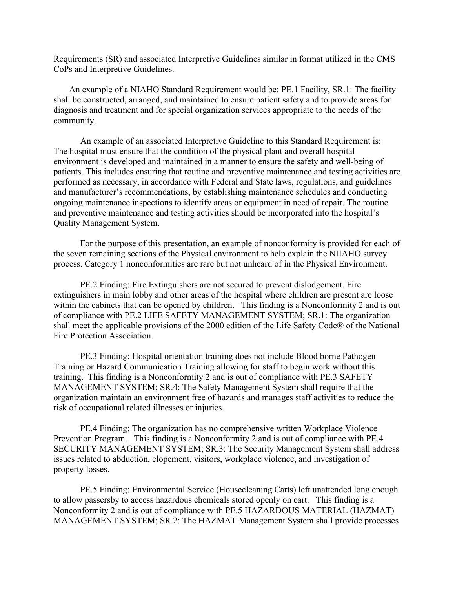Requirements (SR) and associated Interpretive Guidelines similar in format utilized in the CMS CoPs and Interpretive Guidelines.

 An example of a NIAHO Standard Requirement would be: PE.1 Facility, SR.1: The facility shall be constructed, arranged, and maintained to ensure patient safety and to provide areas for diagnosis and treatment and for special organization services appropriate to the needs of the community.

 An example of an associated Interpretive Guideline to this Standard Requirement is: The hospital must ensure that the condition of the physical plant and overall hospital environment is developed and maintained in a manner to ensure the safety and well-being of patients. This includes ensuring that routine and preventive maintenance and testing activities are performed as necessary, in accordance with Federal and State laws, regulations, and guidelines and manufacturer's recommendations, by establishing maintenance schedules and conducting ongoing maintenance inspections to identify areas or equipment in need of repair. The routine and preventive maintenance and testing activities should be incorporated into the hospital's Quality Management System.

 For the purpose of this presentation, an example of nonconformity is provided for each of the seven remaining sections of the Physical environment to help explain the NIIAHO survey process. Category 1 nonconformities are rare but not unheard of in the Physical Environment.

PE.2 Finding: Fire Extinguishers are not secured to prevent dislodgement. Fire extinguishers in main lobby and other areas of the hospital where children are present are loose within the cabinets that can be opened by children. This finding is a Nonconformity 2 and is out of compliance with PE.2 LIFE SAFETY MANAGEMENT SYSTEM; SR.1: The organization shall meet the applicable provisions of the 2000 edition of the Life Safety Code® of the National Fire Protection Association.

 PE.3 Finding: Hospital orientation training does not include Blood borne Pathogen Training or Hazard Communication Training allowing for staff to begin work without this training. This finding is a Nonconformity 2 and is out of compliance with PE.3 SAFETY MANAGEMENT SYSTEM; SR.4: The Safety Management System shall require that the organization maintain an environment free of hazards and manages staff activities to reduce the risk of occupational related illnesses or injuries.

 PE.4 Finding: The organization has no comprehensive written Workplace Violence Prevention Program. This finding is a Nonconformity 2 and is out of compliance with PE.4 SECURITY MANAGEMENT SYSTEM; SR.3: The Security Management System shall address issues related to abduction, elopement, visitors, workplace violence, and investigation of property losses.

 PE.5 Finding: Environmental Service (Housecleaning Carts) left unattended long enough to allow passersby to access hazardous chemicals stored openly on cart. This finding is a Nonconformity 2 and is out of compliance with PE.5 HAZARDOUS MATERIAL (HAZMAT) MANAGEMENT SYSTEM; SR.2: The HAZMAT Management System shall provide processes